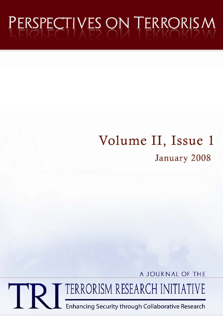# PERSPECTIVES ON TERRORISM

# Volume II, Issue 1 January 2008

A JOURNAL OF THE

TERRORISM RESEARCH INITIATIVE

Enhancing Security through Collaborative Research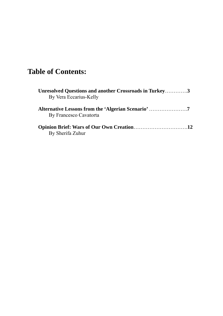# **Table of Contents:**

| Unresolved Questions and another Crossroads in Turkey3<br>By Vera Eccarius-Kelly |  |
|----------------------------------------------------------------------------------|--|
| By Francesco Cavatorta                                                           |  |
| By Sherifa Zuhur                                                                 |  |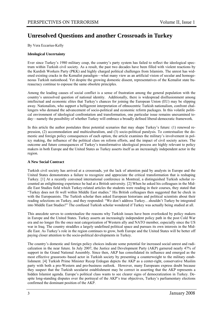# **Unresolved Questions and another Crossroads in Turkey**

By Vera Eccarius-Kelly

#### **Ideological Uncertainty**

Ever since Turkey's 1980 military coup, the country's party system has failed to reflect the ideological spectrum within Turkish civil society. As a result, the past two decades have been filled with violent reactions by the Kurdish Workers Party (PKK) and highly charged political challenges from Islamists. The unrest has widened existing cracks in the Kemalist paradigm—what many view as an artificial vision of secular and homogeneous Turkish nationhood. Yet despite the growing domestic dissent, representatives of the Kemalist state bureaucracy continue to espouse the same obsolete principles.

Among the leading causes of social conflict is a sense of frustration among the general population with the country's unresolved question of national identity. Additionally, there is widespread disillusionment among intellectual and economic elites that Turkey's chances for joining the European Union (EU) may be slipping away. Nationalists, who support a belligerent interpretation of ethnocentric Turkish nationalism, confront challengers who demand the advancement of socio-political and economic reform packages. In this volatile political environment of ideological confrontation and transformation, one particular issue remains unexamined today—namely the possibility of whether Turkey will embrace a broadly defined liberal-democratic framework.

In this article the author postulates three potential scenarios that may shape Turkey's future: (1) renewed repression, (2) accommodation and multiculturalism, and (3) socio-political paralysis. To contextualize the domestic and foreign policy consequences of each option, the article examines the military's involvement in policy making, the influence of the political class on reform efforts, and the impact of civil society actors. The outcome and future consequences of Turkey's transformative ideological process are highly relevant to policy makers in both Europe and the United States as Turkey asserts itself as an increasingly independent actor in the region.

#### **A New Social Contract**

Turkish civil society has arrived at a crossroads, yet the lack of attention paid by analysts in Europe and the United States demonstrates a failure to recognize and appreciate the critical transformation that is reshaping Turkey. [1] At a recently convened international conference in Montreal, a distinguished Turkish scholar recounted an enlightening experience he had at a British university. [2] When he asked his colleagues in the Middle East Studies field which Turkey-related articles the students were reading in their courses, they stated that "Turkey does not fit well within Middle East studies." His British colleagues then suggested that he check in with the Europeanists. The Turkish scholar then asked European historians and political scientists about their reading selections on Turkey, and they responded: "We don't address Turkey…shouldn't Turkey be integrated into Middle East Studies?" The confused Turkish scholar wondered if Turkey was actually being studied at all.

This anecdote serves to contextualize the reasons why Turkish issues have been overlooked by policy makers in Europe and the United States. Turkey asserts an increasingly independent policy path in the post Cold War era and no longer fits the once neat categorization of Western ally and NATO member, especially since the US war in Iraq. The country straddles a largely undefined political space and pursues its own interests in the Middle East. As Turkey's role in the region continues to grow, both Europe and the United States will be better off paying closer attention to the socio-political developments in Turkey.

The country's domestic and foreign policy choices indicate some potential for increased social unrest and radicalization in the near future. In July 2007, the Justice and Development Party (AKP) garnered nearly 47% of support in the Grand National Assembly. Since then, AKP has consolidated its influence and emerged as the most effective grassroots–based actor in Turkish society by presenting a counterweight to the military establishment. [4] Turkish Prime Minister Recep Erdogan depicts the AKP as a center-right, conservative Muslim party with both a pro-Western and pro-business outlook. However, many Europeans express doubt because they suspect that the Turkish secularist establishment may be correct in asserting that the AKP represents a hidden Islamist agenda. Europe's political class wants to see clearer signs of democratization in Turkey. Despite long-standing disputes over the portrayal of the AKP's true objectives, Turkey's parliamentary elections confirmed the dominant position of the AKP.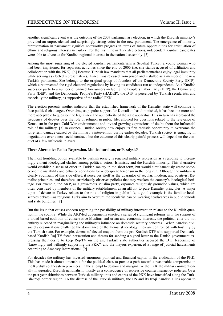Another significant event was the outcome of the 2007 parliamentary election, in which the Kurdish minority's provided an unprecedented and surprisingly strong voice in the new parliament. The emergence of minority representation in parliament signifies noteworthy progress in terms of future opportunities for articulation of ethnic and religious interests in Turkey. For the first time in Turkish elections, independent Kurdish candidates were able to advocate for Kurdish regional interests in the national assembly. [5]

Among the most surprising of the elected Kurdish parliamentarians is Sebahat Tuncel, a young woman who had been imprisoned for separatist activities since the end of 2006 (i.e. she stands accused of affiliation and collaboration with the PKK). [6] Because Turkish law mandates that all parliamentarians enjoy legal immunity while serving as elected representatives, Tuncel was released from prison and installed as a member of the new Turkish parliament. She belongs to the original group of founders of the Democratic Society Party (DTP), which circumvented the rigid electoral regulations by having its candidates run as independents. As a Kurdish successor party to a number of banned forerunners including the People's Labor Party (HEP), the Democratic Party (DEP), and the Democratic People's Party (HADEP), the DTP is perceived by Turkish secularists, and especially the military, as supportive of the radical PKK.

The election presents another indicator that the established framework of the Kemalist state will continue to face political challenges. Over time, as popular support for Kemalism has diminished, it has become more and more acceptable to question the legitimacy and authenticity of the state apparatus. This in turn has increased the frequency of debates over the role of religion in public life, allowed for questions related to the relevance of Kemalism in the post Cold War environment,; and invited growing expressions of doubt about the influential role of the military. [7] In essence, Turkish society now enjoys its first realistic opportunity to overcome the long-term damage caused by the military's intervention during earlier decades. Turkish society is engaging in negotiations over a new social contract, but the outcome of this clearly painful process will depend on the conduct of a few influential players.

#### **Three Alternative Paths: Repression, Multiculturalism, or Paralysis?**

The most troubling option available to Turkish society is renewed military repression as a response to increasingly violent ideological clashes among political actors, Islamists, and the Kurdish minority. This alternative would establish a sense of order in Turkish society in the short term, but would simultaneously create socioeconomic instability and enhance conditions for wide-spread terrorism in the long run. Although the military is clearly cognizant of this side effect, it perceives itself as the guarantor of secular, modern, and positivist Kemalist principles, and therefore, suspiciously observes policies that may weaken the country's ideological heritage. For example, the AKP, as a grass-roots Muslim party, espouses religiously grounded values, which are often construed by members of the military establishment as an affront to pure Kemalist principles. A major topic of debate in Turkey relates to the role of religion in public life, a good example is the familiar headscarves debate—as religious Turks aim to overturn the secularist ban on wearing headscarves in public schools and state buildings. [8]

But the issue that causes concern regarding the possibility of military intervention relates to the Kurdish question in the country. While the AKP-led governments enacted a series of significant reforms with the support of a broad-based coalition of conservative Muslims and urban and economic interests, the political elite did not entirely succeed in marginalizing the military's influence on domestic security concerns. When Kurdish civil society organizations challenge the dominance of the Kemalist ideology, they are confronted with hostility by the Turkish state. For example, dozens of elected mayors from the pro-Kurdish DTP who supported Denmarkbased Kurdish Roj-TV faced persecution and threats for sending a signed letter to the Danish government expressing their desire to keep Roj-TV on the air. Turkish state authorities accused the DTP leadership of "knowingly and willingly supporting the PKK", and the mayors experienced a range of judicial harassments according to Amnesty International. [9]

For decades the military has invested enormous political and financial capital in the eradication of the PKK. This has made it almost untenable for the political class to pursue a path toward a reasonable compromise in the Kurdish southeastern provinces. In the attempt to destroy and marginalize the PKK the military unintentionally invigorated Kurdish nationalism, mostly as a consequence of repressive counterinsurgency policies. Over the past year skirmishes between Turkish military units and cadres of the PKK have intensified along the Turkish-Iraqi border region. To the distress of the Turkish military, the US and its Iraqi Kurdish allies appear to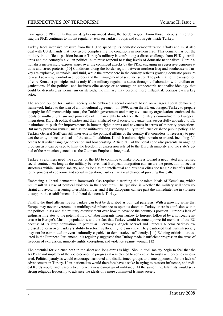have ignored PKK units that are deeply ensconced along the border region. From those hideouts in northern Iraq the PKK continues to mount regular attacks on Turkish troops and soft targets inside Turkey.

Turkey faces intensive pressure from the EU to speed up its domestic democratization efforts and must also deal with US demands that they avoid complicating the conditions in northern Iraq. This demand has put the military in a difficult position because Turkey's military is confronting a direct challenge from PKK guerrilla units and the country's civilian political elite must respond to rising levels of domestic nationalism. Ultra nationalists increasingly express anger over the continued attacks by the PKK, engaging in aggressive demonstrations and street protests. [10] Conditions along the border region between northern Iraq and southeastern Turkey are explosive, untenable, and fluid, while the atmosphere in the country reflects growing domestic pressure to assert sovereign control over borders and the management of security issues. The potential for the reassertion of core Kemalist principles exists only if the military regains its status through collaboration with civilian organizations. If the political and business elite accept or encourage an ethnocentric nationalist ideology that could be described as Kemalism on steroids, the military may become more influential; perhaps even a key actor.

The second option for Turkish society is to embrace a social contract based on a larger liberal democratic framework linked to the idea of a multicultural agreement. In 1999, when the EU encouraged Turkey to prepare to apply for full membership status, the Turkish government and many civil society organizations embraced the ideals of multiculturalism and principles of human rights to advance the country's commitment to European integration. Kurdish political parties and their affiliated civil society organizations successfully appealed to EU institutions to push for improvements in human rights norms and advances in terms of minority protections. But many problems remain, such as the military's long standing ability to influence or shape public policy. The Turkish General Staff can still intervene in the political affairs of the country if it considers it necessary to protect the unity or secular ideals of the state. In addition, Kurdish cultural rights remain restricted, including full access to Kurdish language education and broadcasting. Article 301 of the penal code also presents an ongoing problem as it can be used to limit the freedom of expression related to the Kurdish minority and the state's denial of the Armenian genocide as the Ottoman Empire disintegrated.

Turkey's reformers need the support of the EU to continue to make progress toward a negotiated and revised social contract. As long as the military believes that European integration can ensure the protection of secular structures within Turkish society, and as long as the intellectual and business elites see tangible benefits linked to the process of economic and social integration, Turkey has a real chance of pursuing this path.

Embracing a liberal democratic framework also requires discarding the obsolete ideals of Kemalism, which will result in a rise of political violence in the short term. The question is whether the military will show restraint and avoid intervening to establish order, and if the Europeans can see past the immediate rise in violence to support the establishment of a liberal democratic Turkey.

Finally, the third alternative for Turkey can best be described as political paralysis. With a growing sense that Europe may never overcome its multilayered reluctance to open its doors to Turkey, there is confusion within the political class and the military establishment over how to advance the country's position. Europe's lack of enthusiasm relates to the potential flow of labor migrants from Turkey to Europe, followed by a noticeable increase in Europe's Muslim populations, and the fact that Turkey would become a powerful member of the EU because of its large population. In particular, Germany's Angela Merkel and France's Nicolas Sarkozy expressed concern over Turkey's ability to reform sufficiently to gain entry. They cautioned that Turkish society may not be committed or even 'culturally capable' to democratize sufficiently. [11] Echoing criticism articulated in the European Parliament, it is regularly suggested that Turkey made insufficient progress in the areas of freedom of expression, minority rights, corruption, and violence against women. [12]

The potential for violence both in the short and long-terms is high. Should civil society begin to feel that the AKP can not implement the socio-economic progress it was elected to achieve, extremists will become empowered. Political paralysis would encourage frustrated and disillusioned groups to blame opponents for the lack of advancement in Turkey. Ultra nationalists would therefore have a stake in trying to reassert influence, and radical Kurds would find reasons to embrace a new campaign of militancy. At the same time, Islamists would seek strong religious leadership to advance the ideals of a more committed Islamic society.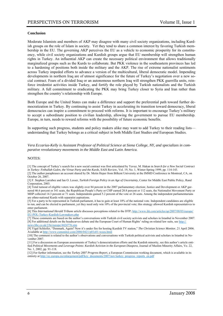#### **Conclusion**

Moderate Islamists and members of AKP may disagree with many civil society organizations, including Kurdish groups on the role of Islam in society. Yet they tend to share a common interest by favoring Turkish membership in the EU. The governing AKP perceives the EU as a vehicle to economic prosperity for its constituency, while civil society organizations and Kurdish groups argue that EU membership will strengthen human rights in Turkey. An influential AKP can create the necessary political environment that allows traditionally marginalized groups such as the Kurds to collaborate. But PKK violence in the southeastern provinces has led to a hardening of positions both inside the military and the AKP. The rise of extreme nationalist sentiments across Turkey impeded efforts to advance a version of the multicultural, liberal democratic model. Impending developments in northern Iraq are of utmost significance for the future of Turkey's negotiation over a new social contract. Fears of a divided Iraq or an autonomous northern Iraq will strengthen PKK guerrilla units, reinforce irredentist activities inside Turkey, and fortify the role played by Turkish nationalists and the Turkish military. A full commitment to eradicating the PKK may bring Turkey closer to Syria and Iran rather than strengthen the country's relationship with Europe.

Both Europe and the United States can make a difference and support the preferential path toward further democratization in Turkey. By continuing to assist Turkey in accelerating its transition toward democracy, liberal democracies can inspire a commitment to proceed with reforms. It is important to encourage Turkey's military to accept a subordinate position to civilian leadership, allowing the government to pursue EU membership. Europe, in turn, needs to reward reforms with the possibility of future economic benefits.

In supporting such progress, students and policy makers alike may want to add Turkey to their reading lists understanding that Turkey belongs as a critical subject in both Middle East Studies *and* European Studies.

*Vera Eccarius-Kelly is Assistant Professor of Political Science at Siena College, NY, and specializes in comparative revolutionary movements in the Middle East and Latin America.* 

#### NOTES:

[1] The concept of Turkey's search for a new social contract was first articulated by Yavuz, M. Hakan in *Search for a New Social Contract in Turkey: Fethullah Gulen, the Virtue Party and the Kurds*, SAIS Review, Vol. 19, No. 1, Winter-Spring 1999, pp. 114-143.

[2] The author paraphrases an account shared by Dr. Metin Heper from Bilkent University at the IMMD Conference in Montreal, CA, on October 26, 2007.

[3] F. Stephen Larrabee and Ian O. Lesser, *Turkish Foreign Policy in an Age of Uncertainty*, Center for Middle East Public Policy, Rand Corporation, 2003.

[4] Total turnout of eligible voters was slightly over 84 percent in the 2007 parliamentary election; Justice and Development or AKP garnered 46.6 percent or 341 seats, the Republican People's Party or CHP earned 20.8 percent or 112 seats, the Nationalist Movement Party or MHP collected 14.3 percent or 71 seats. Independents gained 5.2 percent of the vote or 26 seats. Among the independent parliamentarians are ethno-national Kurds with separatist aspirations.

[5] For a party to be represented in Turkish parliament, it has to gain at least 10% of the national vote. Independent candidates are eligible to run, and can be elected to parliament, yet they need only win 10% of the provincial vote; this strategy allowed Kurdish representatives to enter parliament.

[6] This *International Herald Tribune* article discusses perceptions related to the DTP; http://www.iht.com/articles/ap/2007/08/03/europe/ EU-POL-Turkey-Kurdish-Lawmakers

[7] These comments are based on the author's conversations with Turkish civil society activists and scholars in Istanbul in November 2007. [8] For additional details on the headscarves debate and the European Court of Human Rights' ruling on related law suits, see http:// s.bbc.co.uk/2/hi/europe/4424776.stm

[9] Yigal Schleifer, "Denmark, Again? Now it's under fire for hosting Kurdish TV station," *The Christian Science Monitor*, 21 April 2006. Available at http://www.csmonitor.com/2006/0421/p01s01-woeu.html

[10] The comment is related to the author's observations and conversations with Turkish political activists and scholars in Istanbul in November 2007.

[11] For a discussion on European assessments of Turkey's democratization efforts and the Kurdish minority, see this author's article entitled *Political Movements and Leverage Points: Kurdish Activism in the European Diaspora*, Journal of Muslim Minority Affairs, Vo. 22, No. 1, 2002, pp. 91-118.

[12] For further information, see the *Turkey 2007 Progress Report*, a European Commission working document, which is available in its entirety at http://ec.europa.eu/enlargement/pdf/key\_documents/2007/nov/turkey\_progress\_reports\_en.pdf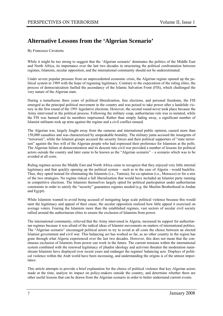### **Alternative Lessons from the 'Algerian Scenario'**

By Francesco Cavatorta

While it might be too strong to suggest that the 'Algerian scenario' dominates the politics of the Middle East and North Africa, its importance over the last two decades in structuring the political confrontation between regimes, Islamists, secular opposition, and the international community should not be underestimated.

Under severe popular pressure from an unprecedented economic crisis, the Algerian regime opened up the political system in 1989 with the hope of regaining legitimacy. Contrary to the expectation of the ruling elites, the process of democratization fuelled the ascendancy of the Islamic Salvation Front (FIS), which challenged the very nature of the Algerian state.

During a tumultuous three years of political liberalization, free elections, and personal freedoms, the FIS emerged as the principal political movement in the country and was poised to take power after a landslide victory in the first round of the 1991 legislative elections. However, the second round never took place because the Army intervened in the political process. Following the military coup, authoritarian rule was re-instated, while the FIS was banned and its members imprisoned. Rather than simply fading away, a significant number of Islamist militants took up arms against the regime and a civil conflict ensued.

The Algerian war, largely fought away from the cameras and international public opinion, caused more than 150,000 casualties and was characterized by unspeakable brutality. The military junta accused the insurgents of "terrorism", while the Islamist groups accused the security forces and their political supporters of "state terrorism" against the free will of the Algerian people who had expressed their preference for Islamism at the polls. The Algerian failure at democratization and its descent into civil war provided a number of lessons for political actors outside the country and later came to be known as the "Algerian scenario" – a scenario which was to be avoided at all costs.

Ruling regimes across the Middle East and North Africa came to recognize that they enjoyed very little internal legitimacy and that quickly opening up the political system – such as in the case of Algeria - would backfire. Thus, they opted instead for eliminating the Islamists (i.e., Tunisia), for co-optation (i.e., Morocco) or for a mix of the two strategies. No regime risked a full liberalization that would have included an Islamist party running in competitive elections. The Islamists themselves largely opted for political participation under authoritarian constraints in order to satisfy the "security" guarantees regimes needed (e.g. the Muslim Brotherhood in Jordan and Egypt).

While Islamists wanted to avoid being accused of instigating large scale political violence because this would taint the legitimacy and appeal of their cause, the secular opposition realized how little appeal it exercised on average voters. Fearing the Islamists more than the established regimes, vast sectors of secular civil society rallied around the authoritarian elites to ensure the exclusion of Islamists from power.

The international community, relieved that the Army intervened in Algeria, increased its support for authoritarian regimes because it was afraid of the radical ideas of Islamist movements on matters of international politics. The "Algerian scenario" encouraged political actors to try to avoid at all costs the choice between an elected Islamist government and civil war. This balancing act has worked so far, as no other country in the region has gone through what Algeria experienced over the last two decades. However, this does not mean that the continuous exclusion of Islamists from power can work in the future. The current tensions within the international system combined with the renewed legitimacy of jihadist ideology and activism threaten the moderation mainstream Islamists have displayed over recent years and endanger the regimes' balancing acts. Displays of political violence within the Arab world have been increasing, and understanding the origins is of the utmost importance.

This article attempts to provide a brief explanation for the choice of political violence that key Algerian actors made at the time, analyze its impact on policy-makers outside the country, and determine whether there are other useful lessons that can be drawn from the Algerian scenario in order to better understand current events.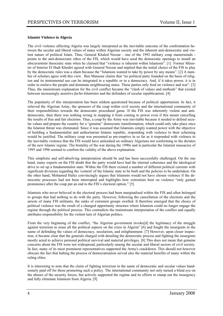#### **Islamist Violence in Algeria**

The civil violence affecting Algeria was largely interpreted as the inevitable outcome of the confrontation between the secular and liberal values of many within Algerian society and the inherent anti-democratic and violent nature of political Islam. Thus, General Khaled Nezzar - one of the 1992 military coup masterminds points to the anti-democratic ethos of the FIS, which would have used the democratic openings to install an *obscurantiste* theocratic state when he claimed that "violence is inherent within Islamism". [1] Former Minister of Interior El Hadi Khediri agreed with General Nezzar and implied that the initial choice of the FIS to play by the democratic rules was a sham because the "Islamists wanted to take by power by any means". [2] A number of scholars agree with this view. Ben Mansour claims that "no political party founded on the basis of religion and its instrumental use can be integrated in a republic or in a democracy. And, if it takes power, it is in order to enslave the people and dominate neighbouring states. These parties only feed on violence and war". [3] Thus, the mainstream explanation for the civil conflict became the "clash of values and methods" that existed between increasingly assertive *facho-Islamistes* and the defenders of secular republicanism. [4]

The popularity of this interpretation has been seldom questioned because of political opportunism. In fact, it relieved the Algerian Army, the sponsors of the coup within civil society and the international community of their responsibilities towards the democratic procedural game. If the FIS was inherently violent and antidemocratic, then there was nothing wrong in stopping it from coming to power even if this meant cancelling the results of free and fair elections. Thus, a coup by the Army was inevitable because it needed to defend secular values and prepare the country for a "genuine" democratic transformation, which could only take place once the Islamist threat was eliminated. Since it was assumed that Islamists simply wanted power with the objective of building a fundamentalist and authoritarian Islamic republic, responding with violence to their scheming would be justified. The military coup was presented as pre-emptive in so far as it responded with violence to the inevitable violence that the FIS would have unleashed on ordinary Algerians not conforming to the dictates of the new Islamic regime. The brutality of the war during the 1990s and in particular the Islamist massacres of 1995 and 1996 seemed to confirm the validity of the above explanation.

This simplistic and self-absolving interpretation should be and has been successfully challenged. On the one hand, many experts on the FIS doubt that the party would have had the internal coherence and the ideological drive to set up a fundamentalist state. Within the FIS there existed a number of different political currents with significant divisions regarding the 'content' of the Islamic state to be built and the policies to be undertaken. On the other hand, Mohamed Hafez convincingly argues that Islamists would not have chosen violence if the democratic processes had not been interrupted and highlights how extremists bent on violence "only gained prominence after the coup put an end to the FIS's electoral option." [5]

Islamists who never believed in the electoral process had been marginalised within the FIS and often belonged to groups that had nothing to do with the party. However, following the cancellation of the elections and the arrests of many FIS militants, the ranks of extremist groups swelled. It therefore emerged that the choice of political violence was the result of a changed opportunity structure where Islamists could no longer engage the regime through the political process. This contradicts the mainstream interpretation of the conflict and equally attributes responsibility for the violent turn of Algerian politics.

From the very beginning of the conflict, "the Algerian government invoke[d] the legitimacy of the struggle against terrorism to erase all the political aspects on the crisis in Algeria" [6] and fought the insurgents in the name of defending the values of democracy, secularism, and enlightenment. [7] However, upon closer inspection, it became clear that the generals charged with derailing the democratic process and fighting the insurgents mostly acted to achieve personal political survival and material privileges. [8] This does not mean that genuine concerns about the FIS were not widespread, particularly among the secular and liberal sectors of civil society. In fact, many of its most prominent representatives supported the Army's crackdown. This should not however obscure the fact that halting the process of democratisation served also the material benefits of many within the ruling elites.

It is interesting to note that the claim of fighting terrorism in the name of democratic and secular values handsomely paid off for those promoting such a policy. The international community not only turned a blind eye on the abuses of the security forces, but actively supported the regime and its efforts to stamp out the insurgency and fully eliminate Islamism from Algeria. [9]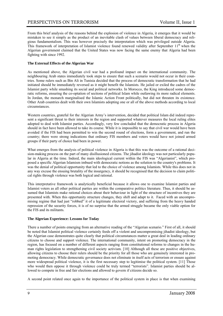From this brief analysis of the reasons behind the explosion of violence in Algeria, it emerges that it would be mistaken to see it simply as the product of an inevitable clash of values between liberal democracy and religious fundamentalism. This was however precisely the interpretation which was privileged outside Algeria. This framework of interpretation of Islamist violence found renewed validity after September  $11<sup>th</sup>$  when the Algerian government claimed that the United States was now facing the same enemy that Algeria had been fighting with since 1992.

#### **The External Effects of the Algerian War**

As mentioned above, the Algerian civil war had a profound impact on the international community. The neighbouring Arab states immediately took steps to ensure that such a scenario would not occur in their countries. Some rulers such as Bin Ali in Tunisia decided that the process of democratic transformation that he had initiated should be immediately reversed as it might benefit the Islamists. He jailed or exiled the cadres of the Islamist party while smashing its social and political networks. In Morocco, the King introduced some democratic reforms, ensuring the co-optation of sections of political Islam while outlawing its more radical elements. In Jordan, the monarch marginalised the Islamic Action Front politically, but did not threaten its existence. Other Arab countries dealt with their own Islamists adopting one or all of the above methods according to local circumstances.

Western countries, grateful for the Algerian Army's intervention, decided that political Islam did indeed represent a significant threat to their interests in the region and supported whatever measures the local ruling elites adopted to deal with Islamist parties. Accordingly, very few concluded that the democratic process in Algeria should in fact have been allowed to take its course. While it is impossible to say that civil war would have been avoided if the FIS had been permitted to win the second round of elections, form a government, and run the country; there were strong indications that ordinary FIS members and voters would have not joined armed groups if their party of choice had been in power.

What emerges from the analysis of political violence in Algeria is that this was the outcome of a rational decision-making process on the part of many disillusioned citizens. The jihadist ideology was not particularly popular in Algeria at the time. Indeed, the main ideological current within the FIS was "Algerianist", which proposed a specific Algerian Islamism imbued with democratic notions as the solution to the country's problems. It was the denial of political opportunity that led to the choice of violence among Islamists. While this does not in any way excuse the ensuing brutality of the insurgency, it should be recognised that the decision to claim political rights through violence was both logical and rational.

This interpretative framework is analytically beneficial because it allows one to examine Islamist parties and Islamist voters as all other political parties are within the comparative politics literature. Thus, it should be assumed that Islamists make rational choices about their behaviour in light of the structure of incentives they are presented with. When this opportunity structure changes, they shift and adapt to it. Faced with an uncompromising regime that had just "robbed" it of a legitimate electoral victory, and suffering from the heavy handed repression of the security forces, it is of no surprise that the armed struggle became the only viable option for the FIS and its militants.

#### **The Algerian Experience: Lessons for Today**

There a number of points emerging from an alternative reading of the "Algerian scenario." First of all, it should be noted that Islamist political violence certainly feeds off a violent and uncompromising jihadist ideology, but the Algerian case demonstrates quite clearly that political circumstances matter a great deal in leading ordinary citizens to choose and support violence. The international community, intent on promoting democracy in the region, has focused on a number of different aspects ranging from constitutional reforms to changes in the human rights legislation to strengthening civil society activism. [10] Although all these are positive objectives, allowing citizens to choose their rulers should be the priority for all those who are genuinely interested in promoting democracy. While democratic governance does not eliminate in itself acts of terrorism or ensure against more widespread political violence, it is the first necessary step to legitimise the political system. [11] Those who would then oppose it through violence could be truly termed "terrorists". Islamist parties should be allowed to compete in free and fair elections and allowed to govern if citizens decide so.

A second point related once again to the importance of the political system in place is that when examining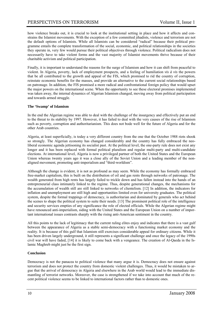how violence breaks out, it is crucial to look at the institutional setting in place and how it affects and constrains the Islamist movements. With the exception of a few committed jihadists, violence and terrorism are not the default options of Islamists. While all Islamists can be considered "radical" because their political programme entails the complete transformation of the social, economic, and political relationships in the societies they operate in, very few would pursue their political objectives through violence. Political radicalism does not necessarily have to take violent forms and the vast majority of Islamist movements thrive because of their charitable activism and political participation.

Finally, it is important to understand the reasons for the surge of Islamism and how it can shift from peaceful to violent. In Algeria, poverty, lack of employment prospects, and a feeling of humiliation *vis à vis* the powers that be all contributed to the growth and appeal of the FIS, which promised to rid the country of corruption, reinstate economic benefits for the masses, and provide an alternative to the current social relationships based on patronage. In addition, the FIS promised a more radical and confrontational foreign policy that would upset the major powers on the international scene. When the opportunity to see these electoral promises implemented was taken away, the internal dynamics of Algerian Islamism changed, moving away from political participation and towards armed struggle.

#### **The 'Swamp' of Islamism**

In the end the Algerian regime was able to deal with the challenge of the insurgency and effectively put an end to the threat to its stability by 1997. However, it has failed to deal with the very causes of the rise of Islamism such as poverty, corruption and authoritarianism. This does not bode well for the future of Algeria and for the other Arab countries.

Algeria, at least superficially, is today a very different country from the one that the October 1988 riots shook so strongly. The Algerian economy has changed considerably and the country has fully embraced the neoliberal economic agenda jettisoning its socialist past. At the political level, the one-party rule does not exist any longer and it has been replaced with formal political pluralism and regular multi-party and multi-candidate elections. At international level, Algeria is now a privileged partner of both the United States and the European Union whereas twenty years ago it was a close ally of the Soviet Union and a leading member of the nonaligned movement, promoting anti-imperialism and "third-worldism".

Although the change is evident, it is not as profound as may seem. While the economy has formally embraced free-market capitalism, this is built on the distribution of oil and gas rents through networks of patronage. The wealth generated from high rents has largely failed to trickle down and has fallen instead into the hands of an entrepreneurial class intimately linked to the regime. Thus, despite generational changes, the mechanisms for the accumulation of wealth still are still linked to networks of clientelism. [12] In addition, the indicators for inflation and unemployment are still high and opportunities limited even for university graduates. The political system, despite the formal trappings of democracy, is authoritarian and dominated by generals who act behind the scenes to shape the political system to suite their needs. [13] The prominent political role of the intelligence and security services empties of any significance the role of elected officials. While the Algerian regime might have renounced anti-imperialism, siding with the United States and the European Union on a number of important international issues contrasts sharply with the rising anti-American sentiment in the country.

All this points to the lack of legitimacy that the current ruling elites enjoy and indicates that there is a vast gulf between the appearance of Algeria as a stable semi-democracy with a functioning market economy and the reality. It is because of this gulf that Islamism still exercises considerable appeal for ordinary citizens. While it has been driven largely underground, it still represents a significant challenge and once the legacy of the 1990s civil war will have faded, [14] it is likely to come back with a vengeance. The creation of Al-Qaeda in the Islamic Maghreb might just be the first sign.

#### **Conclusion**

Democracy is not the panacea to political violence that many argue it is. Democracy does not ensure against terrorism and does not protect the country from domestic violent challenges. Thus, it would be mistaken to argue that the arrival of democracy in Algeria and elsewhere in the Arab world would lead to the immediate dismantling of terrorist networks. Moreover, the case is strengthened if we take into account that much of the recent political violence seems to be linked to international factors rather than to domestic ones.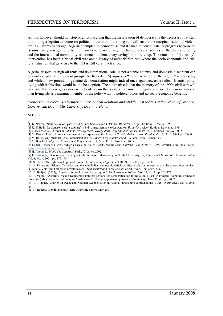All this however should not stop one from arguing that the instauration of democracy is the necessary first step to building a legitimate domestic political order that in the long run will ensure the marginalisation of violent groups. Twenty years ago, Algeria attempted to democratise and it failed to consolidate its progress because an Islamist party was going to be the main beneficiary of regime change. Secular sectors of the domestic polity and the international community sanctioned a "democracy-saving" military coup. The outcome of the Army's intervention has been a brutal civil war and a legacy of authoritarian rule where the socio-economic and cultural situation that gave rise to the FIS is still very much alive.

Algeria, despite its high oil rents and its international role, is not a stable country and domestic discontent can be easily exploited by violent groups. As Roberts [15] argues, a "demilitarisation of the regime" is necessary and while a new process of genuine democratisation might indeed once again reward a radical Islamist party, living with it this time would be the best option. The alternative is that the memory of the 1990s civil war will fade and that a new generation will decide again that violence against the regime and society is more rational than living life as a marginal member of the polity with no political voice and no socio-economic benefits.

#### *Francesco Cavatorta is a lecturer in International Relations and Middle East politics at the School of Law and Government, Dublin City University, Dublin, Ireland.*

#### NOTES:

[1] K. Nezzar, 'Nous ne savions pas' in Sid Ahmed Semiane (ed.) *Octobre. Ils parlent.,* Alger, Editions Le Matin, 1998.

[2] K. El Hadi, 'Le Syndrome de la capitale' in Sid Ahmed Semiane (ed.) *Octobre. Ils parlent*, Alger, Editions Le Matin, 1998.

- [3] L. Ben Mansour, *Frères musulmans, frères féroces. Voyage dans l'enfer du discours Islamiste*, Paris, Editions Ramsay, 2002.
- [4] M. Do Ceu Pinto, 'European and American Responses to the Algerian Crisis', *Mediterranean Politics*, Vol. 3, No. 3, 1998, pp. 63-80.

[5] M. Hafez, *Why Muslims Rebel; repression and resistance in the Islamic world*, Boulder, Lynn Rienner, 2003

[6] M. Benchikh, *Algérie: Un pouvoir politique militarisé*, Paris, Ed. L'Harmattan, 2003.

[7] Osman Bencherif,(1995), 'Algeria Faces the Rough Beast', *Middle East Quarterly*, Vol. 2, No. 4, 1995. Available on-line at: http:// www.meforum.org/meq/issues/199512

[8] H. Aboud, *La Mafia des Généraux*, Paris, JC Lattès, 2002.

[9] F. Cavatorta, 'Geopolitical challenges to the success of democracy in North Africa: Algeria, Tunisia and Morocco', *Democratization*, Vol. 8, No. 4, 2001, pp. 175-194.

[10] S. Cook, 'The right way to promote Arab reform', *Foreign Affairs*, Vol. 84, No. 1, 2005, pp. 91-102.

[11] K. Dalacoura, 'Islamist Terrorism and the Middle East democratic deficit: political exclusion, repression and the causes of extremism' in Frédéric Volpi and Francesco Cavatorta (eds.) *Democratization in the Muslim world*, Oxon, Routledge, 2007.

[12] D. Hadjadj, (2007), 'Algeria: a future hijacked by corruption', *Mediterranean Politics*, Vol. 12, No. 2, pp. 263-277.

[13] F. Volpi, , 'Algeria's Pseudo-Democratic Politics: Lessons for democratization in the Middle East' in Frédéric Volpi and Francesco Cavatorta (eds.) *Democratization in the Muslim World. Changing patterns of power and authority*, Oxon, Routledge, 2007.

[14] G. Hidouci, 'Charter for Peace and National Reconciliation in Algeria: threatening contradictions', *Arab Reform Brief*, No. 8, 2006, pp. 1-6.

[15] H. Roberts, 'Demilitarising Algeria', Carnegie papers, May 2007.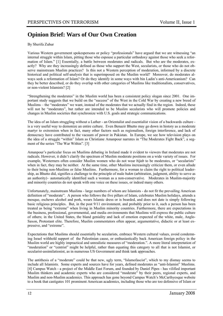## **Opinion Brief: Wars of Our Own Creation**

#### By Sherifa Zuhur

Various Western government spokespersons or policy "professionals" have argued that we are witnessing "an internal struggle within Islam, pitting those who espouse a particular orthodoxy against those who seek a reformation of Islam." [1] Essentially, a battle between moderates and radicals. But who are the moderates, exactly? Why are they increasingly defined as those who support the West, secularists, or those who do not observe mainstream Muslim practices? Is this not a Western perception of moderation, informed by a discrete historical and political self-analysis that is superimposed on the Muslim world? Moreover, do moderates always seek a reformation of Islam? Or do they identify in some ways with bin Ladin's anti-Americanism? Can they be better described, or do they overlap with other categories of Muslims like traditionalists, conservatives, or non-violent Islamists? [2]

"Strengthening the moderates" in the Muslim world has been a consistent policy slogan since 2001. One important study suggests that we build on the "success" of the West in the Cold War by creating a new breed of Muslims – the "moderates" we want, instead of the moderates that we actually find in the region. Indeed, these will not be "moderates", but rather are intended to be Muslim secularists who will promote policies and changes in Muslim societies that synchronize with U.S. goals and strategic communications.

The idea of an Islam struggling without a Luther - an Orientalist and essentialist vision of a backwards culture is a very useful way to demonize an entire culture. Even Benazir Bhutto may go down in history as a moderate martyr to extremism when in fact, many other factors such as regionalism, foreign interference, and lack of democracy have contributed to the vacuum of power in Pakistan. In Europe, we see how television plays on the idea of a struggle "within" Islam as Christiane Amanpour narrates in "The Moderates Fight Back", a segment of the series "The War Within". [3]

Amanpour's particular focus on Muslims debating in Ireland made it evident to viewers that moderates are not radicals. However, it didn't clarify the spectrum of Muslim moderate positions on a wide variety of issues. For example, Westerners often consider Muslim women who do not wear *hijab* to be moderates, or "secularists" when in fact, they may be neither. At the same time, other Muslims increasingly criticize them, or even allude to their being non-Muslims or false Muslims. Furthermore, for a woman to claim the right to political leadership, as Bhutto did, signifies a challenge to the principle of male *hukm* (arbitration, judgment, ability to serve as an authority)– automatically identified such a woman as a non-conservative. Moderates in Muslim-majority and minority countries do not speak with one voice on these issues, or indeed many others.

Unfortunately, mainstream Muslims - large numbers of whom are Islamists - do not fit the prevailing American definition of "moderate". A person who follows the five pillars of Islam, celebrates Muslim holidays, attends a mosque, eschews alcohol and pork, wears Islamic dress or is bearded, and does not date is simply following basic religious principles. But, in the post 9/11 environment, and probably prior to it, such a person has been treated as being "extreme" when living in Muslim minority countries. Furthermore, there are expectations in the business, professional, governmental, and media environments that Muslims will express the public culture of others; in the United States, the bland geniality and lack of emotion expected of the white, male, Anglo-Saxon, Protestant elite. Therefore, Muslim commentators often appear, argumentative, didactic or at least expressive, and "extreme".

Expectations that Muslims should essentially be secularists, embrace Western cultural values, avoid condemning Israel withhold support of the Palestinian cause, or enthusiastically back American foreign policy in the Muslim world are highly impractical and unrealistic measures of "moderation.". A more literal interpretation of "moderation" or "centrist" might be helpful, rather than equating this category to all that is not Islamist, or secularist-assimilationist, as in numerous US Government and think tank approaches.

The antithesis of a "moderate" could be that new, ugly term, "Islamofascist", which to my dismay seems to include all Islamists. Some experts and sources have for years, defined moderates as "anti-Islamist" Muslims. [4] Campus Watch - a project of the Middle East Forum, and founded by Daniel Pipes - has vilified important Muslim thinkers and academic experts who are considered "moderate" by their peers, regional experts, and Muslim and non-Muslim academics. This approach has gone beyond Campus Watch's McCarthyesque website to a book that castigates 101 prominent American academics, including those who are too defensive of Islam or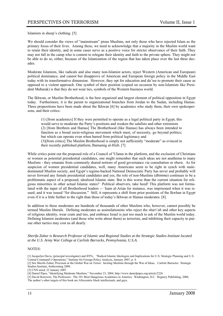Islamists in sheep's clothing. [5]

We should consider the views of "mainstream" pious Muslims, not only those who have rejected Islam as the primary focus of their lives. Among these, we need to acknowledge that a majority in the Muslim world want to retain their identity, and in some cases serve as a positive voice for stricter observance of their faith. They may not fall in the camp who is content to relegate their identity and faith to the private sphere. They might not be able to do so, either, because of the Islamization of the region that has taken place over the last three decades.

Moderate Islamists, like radicals and also many non-Islamist actors, reject Western (American and European) political dominance, and cannot but disapprove of American and European foreign policy in the Middle East today with its transformative dimension. However, they opt for education and *da'wa* to promote their cause as opposed to a violent approach. One symbol of their position (copied on occasion by non-Islamists like President Mubarak) is that they do not wear ties, symbols of the Western business world.

The Ikhwan, or Muslim Brotherhood, is the best organized and largest element of political opposition in Egypt today. Furthermore, it is the parent to organizational branches from Jordan to the Sudan, including Hamas. Three propositions have been made about the Ikhwan [6] by academics who study them, their own spokespersons, and their critics:

(1) [from academics] If they were permitted to operate as a legal political party in Egypt, this would serve to moderate the Party's positions and weaken the salafists and other extremists (2) [from Brethren and Hamas] The Brotherhood (like Hamas) has always been intended to function as a broad socio-religious movement which must, of necessity, go beyond politics; but which can operate even when barred from political legitimacy and (3)[from critics] The Muslim Brotherhood is simply not sufficiently "moderate" as evinced in their recently published platform, Barnamig al-Hizb. [7]

While critics point out the proposed role of a Council of 'Ulama in the platform, and the exclusion of Christians or women as potential presidential candidates, one might remember that such ideas are not anathema to many Muslims - they emanate from commonly shared notions of good governance via consultation or *shura*. As for suspicion of women presidential candidates, well, many Americans seem to be right in synch with maledominated Muslim society, and Egypt's regime-backed National Democratic Party has never and probably will never forward any female presidential candidates and yes, the role of non-Muslims (*dhimma*) continues to be a problematic aspect of a proposed, idealized Islamic state. But is this worse than the current situation for religious minorities in other actual Islamic states? Political observers, take heed! This platform was not formulated with the input of all Brotherhood leaders -- `Isam al-Arian for instance, was imprisoned when it was issued; and it was issued "for discussion." Still, it represents a shift from prior positions of the Ikwhan in Egypt even if it is a little further to the right than those of today's Ikhwan or Hamas moderates. [8]

In addition to these moderates are hundreds of thousands of other Muslims who, however, cannot possibly be termed Muslim liberals. Defining moderates as assimilationists who reject the *shari`ah* and other key aspects of religious identity, wear coats and ties, and embrace Israel is just too much to ask of the Muslim world today. Defining Islamist moderates (and those who write about them) as terrorists, and inhibiting their capacity to pursue other tactics may cost us all dearly.

*Sherifa Zuhur is Research Professor of Islamic and Regional Studies at the Strategic Studies Institute located at the U.S. Army War College at Carlisle Barracks, Pennsylvania, U.S.A.* 

#### NOTES:

[1] Jacquelyn Davis, (principal investigator) and IFPA, "Radical Islamic Ideologies and Implications for U.S. Strategic Planning and U.S. Central Command's Operations," Institute for Foreign Policy Analysis, January 2007, p. 4.

<sup>[2]</sup> See Sherifa Zuhur, Precision in the Global War on Terror: Inciting Muslims through the War of Ideas, Carlisle Barracks: Strategic Studies Institute, forthcoming 2008.

<sup>[3]</sup> CNN aired, 22 January 2007.

<sup>[4]</sup> Daniel Pipes, "Identifying Moderate Muslims," November 23, 2004, http://www.danielpipes.org/article/2226

<sup>[5]</sup> David Horowitz, The Professors: The 101 Most Dangerous Academics in America. Washington, D.C. Regnery Publishing, 2006. The author's other targets of this book are Afrocentric black intellectuals, and gays.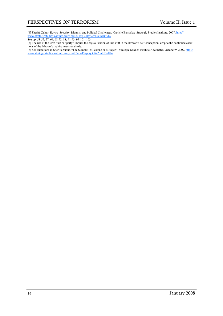[6] Sherifa Zuhur, Egypt: Security, Islamist, and Political Challenges. Carlisle Barracks: Strategic Studies Institute, 2007, http:// www.strategicstudiesinstitute.army.mil/pubs/display.cfm?pubID=787

See pp. 53-55, 57, 64, 68-72, 88, 91-93, 97-101, 103.

[7] The use of the term hizb or "party" implies the crystallization of this shift in the Ikhwan's self-conception, despite the continued assertions of the Ikhwan's multi-dimensional role.

[8] See quotations in Sherifa Zuhur, "The Summit: Milestone or Mirage?" Strategic Studies Institute Newsletter, October 9, 2007, http:// www.strategicstudiesinstitute.army.mil/Pubs/Display.Cfm?pubID=824